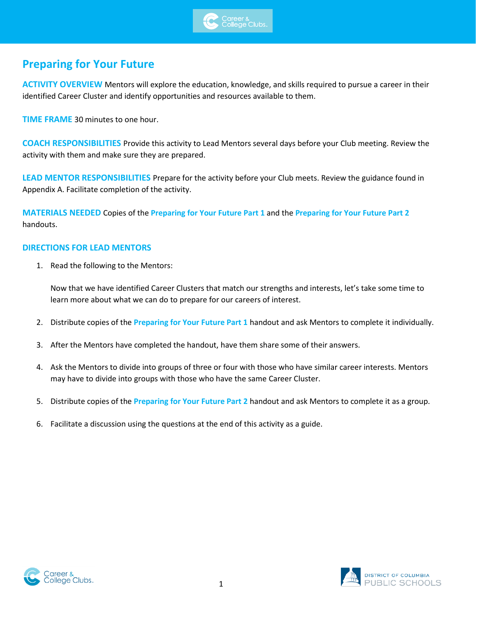

## **Preparing for Your Future**

**ACTIVITY OVERVIEW** Mentors will explore the education, knowledge, and skills required to pursue a career in their identified Career Cluster and identify opportunities and resources available to them.

**TIME FRAME** 30 minutes to one hour.

**COACH RESPONSIBILITIES** Provide this activity to Lead Mentors several days before your Club meeting. Review the activity with them and make sure they are prepared.

**LEAD MENTOR RESPONSIBILITIES** Prepare for the activity before your Club meets. Review the guidance found in Appendix A. Facilitate completion of the activity.

**MATERIALS NEEDED** Copies of the **Preparing for Your Future Part 1** and the **Preparing for Your Future Part 2** handouts.

#### **DIRECTIONS FOR LEAD MENTORS**

1. Read the following to the Mentors:

Now that we have identified Career Clusters that match our strengths and interests, let's take some time to learn more about what we can do to prepare for our careers of interest.

- 2. Distribute copies of the **Preparing for Your Future Part 1** handout and ask Mentors to complete it individually.
- 3. After the Mentors have completed the handout, have them share some of their answers.
- 4. Ask the Mentors to divide into groups of three or four with those who have similar career interests. Mentors may have to divide into groups with those who have the same Career Cluster.
- 5. Distribute copies of the **Preparing for Your Future Part 2** handout and ask Mentors to complete it as a group.
- 6. Facilitate a discussion using the questions at the end of this activity as a guide.



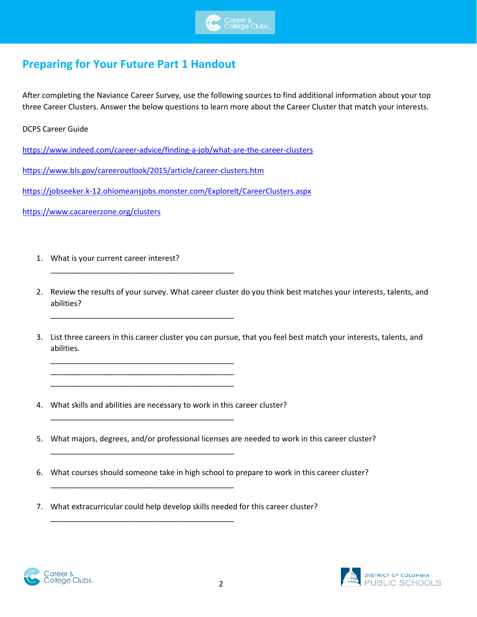

## **Preparing for Your Future Part 1 Handout**

After completing the Naviance Career Survey, use the following sources to find additional information about your top three Career Clusters. Answer the below questions to learn more about the Career Cluster that match your interests.

DCPS Career Guide

<https://www.indeed.com/career-advice/finding-a-job/what-are-the-career-clusters>

<https://www.bls.gov/careeroutlook/2015/article/career-clusters.htm>

\_\_\_\_\_\_\_\_\_\_\_\_\_\_\_\_\_\_\_\_\_\_\_\_\_\_\_\_\_\_\_\_\_\_\_\_\_\_\_\_\_\_\_

\_\_\_\_\_\_\_\_\_\_\_\_\_\_\_\_\_\_\_\_\_\_\_\_\_\_\_\_\_\_\_\_\_\_\_\_\_\_\_\_\_\_\_

\_\_\_\_\_\_\_\_\_\_\_\_\_\_\_\_\_\_\_\_\_\_\_\_\_\_\_\_\_\_\_\_\_\_\_\_\_\_\_\_\_\_\_ \_\_\_\_\_\_\_\_\_\_\_\_\_\_\_\_\_\_\_\_\_\_\_\_\_\_\_\_\_\_\_\_\_\_\_\_\_\_\_\_\_\_\_ \_\_\_\_\_\_\_\_\_\_\_\_\_\_\_\_\_\_\_\_\_\_\_\_\_\_\_\_\_\_\_\_\_\_\_\_\_\_\_\_\_\_\_

\_\_\_\_\_\_\_\_\_\_\_\_\_\_\_\_\_\_\_\_\_\_\_\_\_\_\_\_\_\_\_\_\_\_\_\_\_\_\_\_\_\_\_

\_\_\_\_\_\_\_\_\_\_\_\_\_\_\_\_\_\_\_\_\_\_\_\_\_\_\_\_\_\_\_\_\_\_\_\_\_\_\_\_\_\_\_

\_\_\_\_\_\_\_\_\_\_\_\_\_\_\_\_\_\_\_\_\_\_\_\_\_\_\_\_\_\_\_\_\_\_\_\_\_\_\_\_\_\_\_

\_\_\_\_\_\_\_\_\_\_\_\_\_\_\_\_\_\_\_\_\_\_\_\_\_\_\_\_\_\_\_\_\_\_\_\_\_\_\_\_\_\_\_

<https://jobseeker.k-12.ohiomeansjobs.monster.com/ExploreIt/CareerClusters.aspx>

<https://www.cacareerzone.org/clusters>

- 1. What is your current career interest?
- 2. Review the results of your survey. What career cluster do you think best matches your interests, talents, and abilities?
- 3. List three careers in this career cluster you can pursue, that you feel best match your interests, talents, and abilities.
- 4. What skills and abilities are necessary to work in this career cluster?
- 5. What majors, degrees, and/or professional licenses are needed to work in this career cluster?
- 6. What courses should someone take in high school to prepare to work in this career cluster?
- 7. What extracurricular could help develop skills needed for this career cluster?



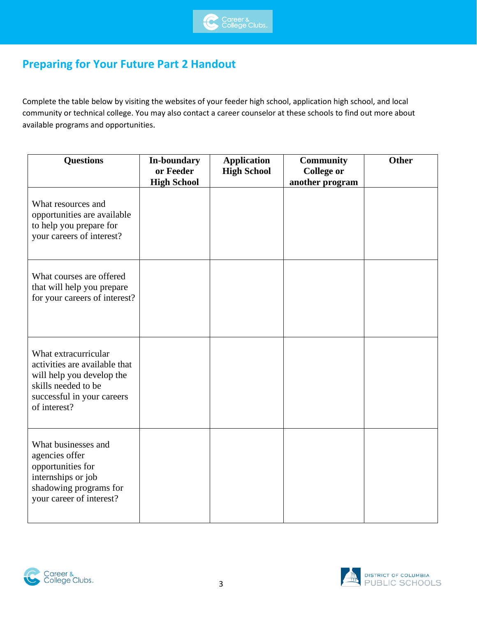

# **Preparing for Your Future Part 2 Handout**

Complete the table below by visiting the websites of your feeder high school, application high school, and local community or technical college. You may also contact a career counselor at these schools to find out more about available programs and opportunities.

| <b>Questions</b>                                                                                                                                        | In-boundary<br>or Feeder<br><b>High School</b> | <b>Application</b><br><b>High School</b> | Community<br><b>College or</b><br>another program | <b>Other</b> |
|---------------------------------------------------------------------------------------------------------------------------------------------------------|------------------------------------------------|------------------------------------------|---------------------------------------------------|--------------|
| What resources and<br>opportunities are available<br>to help you prepare for<br>your careers of interest?                                               |                                                |                                          |                                                   |              |
| What courses are offered<br>that will help you prepare<br>for your careers of interest?                                                                 |                                                |                                          |                                                   |              |
| What extracurricular<br>activities are available that<br>will help you develop the<br>skills needed to be<br>successful in your careers<br>of interest? |                                                |                                          |                                                   |              |
| What businesses and<br>agencies offer<br>opportunities for<br>internships or job<br>shadowing programs for<br>your career of interest?                  |                                                |                                          |                                                   |              |